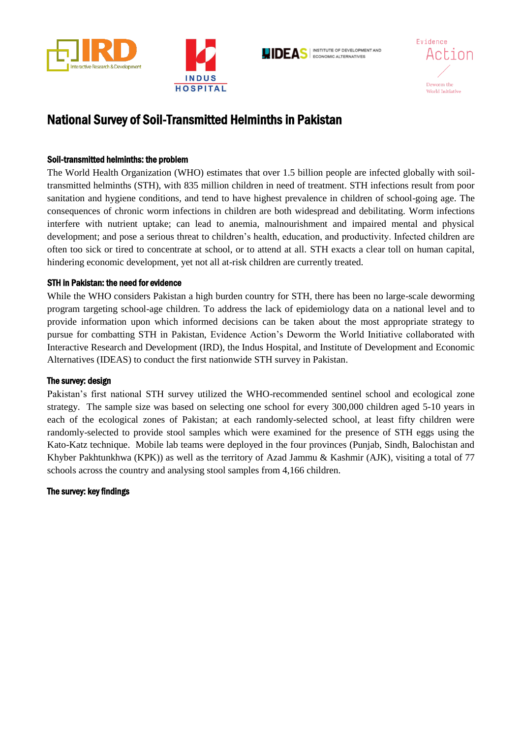







# National Survey of Soil-Transmitted Helminths in Pakistan

## Soil-transmitted helminths: the problem

The World Health Organization (WHO) estimates that over 1.5 billion people are infected globally with soiltransmitted helminths (STH), with 835 million children in need of treatment. STH infections result from poor sanitation and hygiene conditions, and tend to have highest prevalence in children of school-going age. The consequences of chronic worm infections in children are both widespread and debilitating. Worm infections interfere with nutrient uptake; can lead to anemia, malnourishment and impaired mental and physical development; and pose a serious threat to children's health, education, and productivity. Infected children are often too sick or tired to concentrate at school, or to attend at all. STH exacts a clear toll on human capital, hindering economic development, yet not all at-risk children are currently treated.

### STH in Pakistan: the need for evidence

While the WHO considers Pakistan a high burden country for STH, there has been no large-scale deworming program targeting school-age children. To address the lack of epidemiology data on a national level and to provide information upon which informed decisions can be taken about the most appropriate strategy to pursue for combatting STH in Pakistan, Evidence Action's Deworm the World Initiative collaborated with Interactive Research and Development (IRD), the Indus Hospital, and Institute of Development and Economic Alternatives (IDEAS) to conduct the first nationwide STH survey in Pakistan.

### The survey: design

Pakistan's first national STH survey utilized the WHO-recommended sentinel school and ecological zone strategy. The sample size was based on selecting one school for every 300,000 children aged 5-10 years in each of the ecological zones of Pakistan; at each randomly-selected school, at least fifty children were randomly-selected to provide stool samples which were examined for the presence of STH eggs using the Kato-Katz technique. Mobile lab teams were deployed in the four provinces (Punjab, Sindh, Balochistan and Khyber Pakhtunkhwa (KPK)) as well as the territory of Azad Jammu & Kashmir (AJK), visiting a total of 77 schools across the country and analysing stool samples from 4,166 children.

### The survey: key findings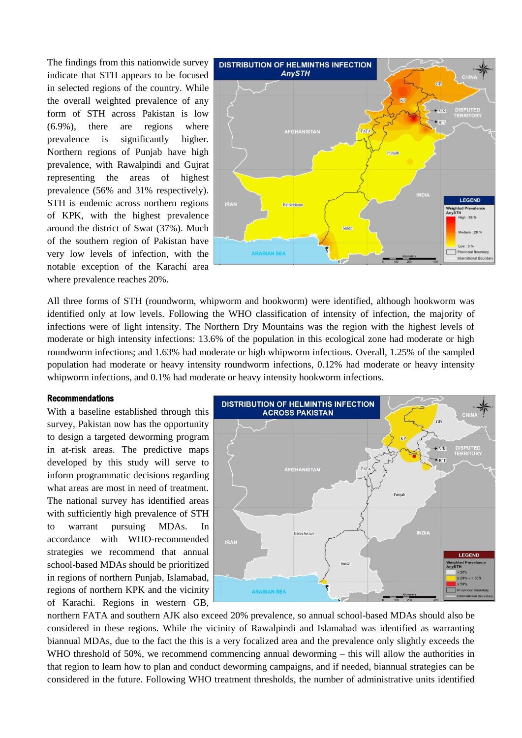The findings from this nationwide survey indicate that STH appears to be focused in selected regions of the country. While the overall weighted prevalence of any form of STH across Pakistan is low (6.9%), there are regions where prevalence is significantly higher. Northern regions of Punjab have high prevalence, with Rawalpindi and Gujrat representing the areas of highest prevalence (56% and 31% respectively). STH is endemic across northern regions of KPK, with the highest prevalence around the district of Swat (37%). Much of the southern region of Pakistan have very low levels of infection, with the notable exception of the Karachi area where prevalence reaches 20%.



All three forms of STH (roundworm, whipworm and hookworm) were identified, although hookworm was identified only at low levels. Following the WHO classification of intensity of infection, the majority of infections were of light intensity. The Northern Dry Mountains was the region with the highest levels of moderate or high intensity infections: 13.6% of the population in this ecological zone had moderate or high roundworm infections; and 1.63% had moderate or high whipworm infections. Overall, 1.25% of the sampled population had moderate or heavy intensity roundworm infections, 0.12% had moderate or heavy intensity whipworm infections, and  $0.1\%$  had moderate or heavy intensity hookworm infections.

#### Recommendations

With a baseline established through this survey, Pakistan now has the opportunity to design a targeted deworming program in at-risk areas. The predictive maps developed by this study will serve to inform programmatic decisions regarding what areas are most in need of treatment. The national survey has identified areas with sufficiently high prevalence of STH to warrant pursuing MDAs. In accordance with WHO-recommended strategies we recommend that annual school-based MDAs should be prioritized in regions of northern Punjab, Islamabad, regions of northern KPK and the vicinity of Karachi. Regions in western GB,



northern FATA and southern AJK also exceed 20% prevalence, so annual school-based MDAs should also be considered in these regions. While the vicinity of Rawalpindi and Islamabad was identified as warranting biannual MDAs, due to the fact the this is a very focalized area and the prevalence only slightly exceeds the WHO threshold of 50%, we recommend commencing annual deworming – this will allow the authorities in that region to learn how to plan and conduct deworming campaigns, and if needed, biannual strategies can be considered in the future. Following WHO treatment thresholds, the number of administrative units identified